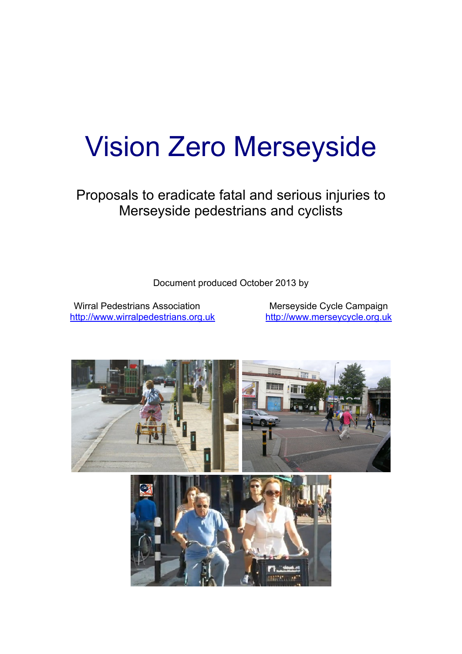# Vision Zero Merseyside

Proposals to eradicate fatal and serious injuries to Merseyside pedestrians and cyclists

Document produced October 2013 by

Wirral Pedestrians Association Merseyside Cycle Campaign <http://www.wirralpedestrians.org.uk> <http://www.merseycycle.org.uk>

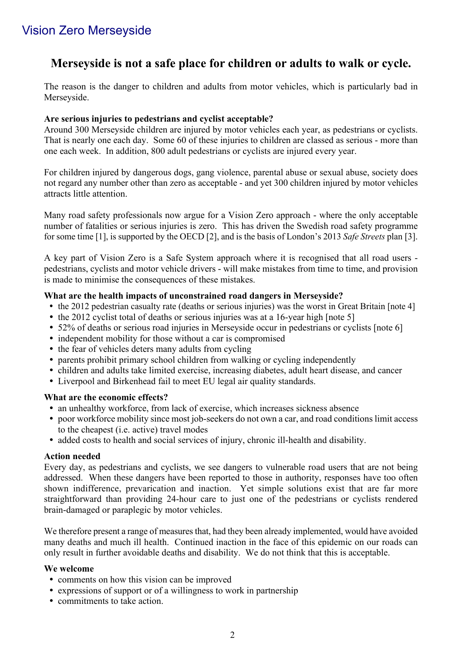# Vision Zero Merseyside

# **Merseyside is not a safe place for children or adults to walk or cycle.**

The reason is the danger to children and adults from motor vehicles, which is particularly bad in Merseyside.

#### **Are serious injuries to pedestrians and cyclist acceptable?**

Around 300 Merseyside children are injured by motor vehicles each year, as pedestrians or cyclists. That is nearly one each day. Some 60 of these injuries to children are classed as serious - more than one each week. In addition, 800 adult pedestrians or cyclists are injured every year.

For children injured by dangerous dogs, gang violence, parental abuse or sexual abuse, society does not regard any number other than zero as acceptable - and yet 300 children injured by motor vehicles attracts little attention.

Many road safety professionals now argue for a Vision Zero approach - where the only acceptable number of fatalities or serious injuries is zero. This has driven the Swedish road safety programme for some time [1], is supported by the OECD [2], and is the basis of London's 2013 *Safe Streets* plan [3].

A key part of Vision Zero is a Safe System approach where it is recognised that all road users pedestrians, cyclists and motor vehicle drivers - will make mistakes from time to time, and provision is made to minimise the consequences of these mistakes.

#### **What are the health impacts of unconstrained road dangers in Merseyside?**

- the 2012 pedestrian casualty rate (deaths or serious injuries) was the worst in Great Britain [note 4]
- the 2012 cyclist total of deaths or serious injuries was at a 16-year high [note 5]
- 52% of deaths or serious road injuries in Merseyside occur in pedestrians or cyclists [note 6]
- independent mobility for those without a car is compromised
- the fear of vehicles deters many adults from cycling
- parents prohibit primary school children from walking or cycling independently
- ü children and adults take limited exercise, increasing diabetes, adult heart disease, and cancer
- Liverpool and Birkenhead fail to meet EU legal air quality standards.

#### **What are the economic effects?**

- an unhealthy workforce, from lack of exercise, which increases sickness absence
- ü poor workforce mobility since most job-seekers do not own a car, and road conditions limit access to the cheapest (i.e. active) travel modes
- ü added costs to health and social services of injury, chronic ill-health and disability.

#### **Action needed**

Every day, as pedestrians and cyclists, we see dangers to vulnerable road users that are not being addressed. When these dangers have been reported to those in authority, responses have too often shown indifference, prevarication and inaction. Yet simple solutions exist that are far more straightforward than providing 24-hour care to just one of the pedestrians or cyclists rendered brain-damaged or paraplegic by motor vehicles.

We therefore present a range of measures that, had they been already implemented, would have avoided many deaths and much ill health. Continued inaction in the face of this epidemic on our roads can only result in further avoidable deaths and disability. We do not think that this is acceptable.

#### **We welcome**

- comments on how this vision can be improved
- expressions of support or of a willingness to work in partnership
- commitments to take action.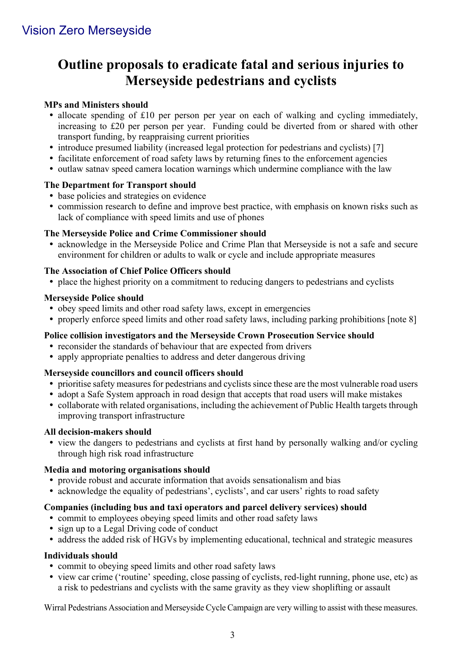# **Outline proposals to eradicate fatal and serious injuries to Merseyside pedestrians and cyclists**

# **MPs and Ministers should**

- allocate spending of £10 per person per year on each of walking and cycling immediately, increasing to £20 per person per year. Funding could be diverted from or shared with other transport funding, by reappraising current priorities
- introduce presumed liability (increased legal protection for pedestrians and cyclists) [7]
- facilitate enforcement of road safety laws by returning fines to the enforcement agencies
- outlaw satnav speed camera location warnings which undermine compliance with the law

## **The Department for Transport should**

- base policies and strategies on evidence
- commission research to define and improve best practice, with emphasis on known risks such as lack of compliance with speed limits and use of phones

## **The Merseyside Police and Crime Commissioner should**

• acknowledge in the Merseyside Police and Crime Plan that Merseyside is not a safe and secure environment for children or adults to walk or cycle and include appropriate measures

## **The Association of Chief Police Officers should**

• place the highest priority on a commitment to reducing dangers to pedestrians and cyclists

#### **Merseyside Police should**

- obey speed limits and other road safety laws, except in emergencies
- properly enforce speed limits and other road safety laws, including parking prohibitions [note 8]

## **Police collision investigators and the Merseyside Crown Prosecution Service should**

- ü reconsider the standards of behaviour that are expected from drivers
- apply appropriate penalties to address and deter dangerous driving

## **Merseyside councillors and council officers should**

- ü prioritise safety measures for pedestrians and cyclists since these are the most vulnerable road users
- adopt a Safe System approach in road design that accepts that road users will make mistakes
- collaborate with related organisations, including the achievement of Public Health targets through improving transport infrastructure

## **All decision-makers should**

• view the dangers to pedestrians and cyclists at first hand by personally walking and/or cycling through high risk road infrastructure

## **Media and motoring organisations should**

- ü provide robust and accurate information that avoids sensationalism and bias
- acknowledge the equality of pedestrians', cyclists', and car users' rights to road safety

## **Companies (including bus and taxi operators and parcel delivery services) should**

- commit to employees obeying speed limits and other road safety laws
- sign up to a Legal Driving code of conduct
- ü address the added risk of HGVs by implementing educational, technical and strategic measures

## **Individuals should**

- commit to obeying speed limits and other road safety laws
- ü view car crime ('routine' speeding, close passing of cyclists, red-light running, phone use, etc) as a risk to pedestrians and cyclists with the same gravity as they view shoplifting or assault

Wirral Pedestrians Association and Merseyside Cycle Campaign are very willing to assist with these measures.